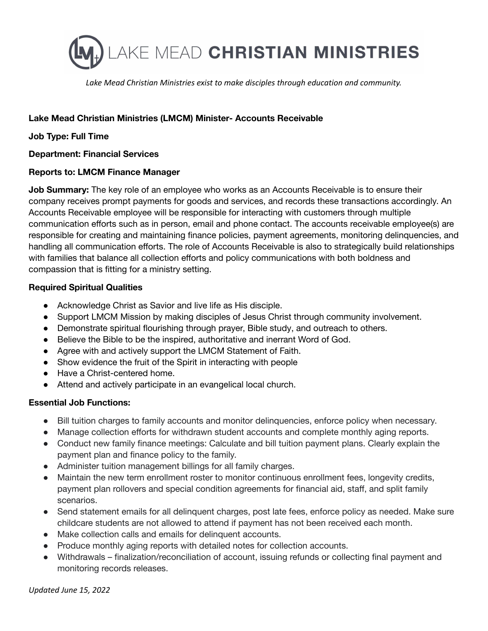

*Lake Mead Christian Ministries exist to make disciples through education and community.*

## **Lake Mead Christian Ministries (LMCM) Minister- Accounts Receivable**

#### **Job Type: Full Time**

#### **Department: Financial Services**

#### **Reports to: LMCM Finance Manager**

**Job Summary:** The key role of an employee who works as an Accounts Receivable is to ensure their company receives prompt payments for goods and services, and records these transactions accordingly. An Accounts Receivable employee will be responsible for interacting with customers through multiple communication efforts such as in person, email and phone contact. The accounts receivable employee(s) are responsible for creating and maintaining finance policies, payment agreements, monitoring delinquencies, and handling all communication efforts. The role of Accounts Receivable is also to strategically build relationships with families that balance all collection efforts and policy communications with both boldness and compassion that is fitting for a ministry setting.

#### **Required Spiritual Qualities**

- Acknowledge Christ as Savior and live life as His disciple.
- Support LMCM Mission by making disciples of Jesus Christ through community involvement.
- Demonstrate spiritual flourishing through prayer, Bible study, and outreach to others.
- Believe the Bible to be the inspired, authoritative and inerrant Word of God.
- Agree with and actively support the LMCM Statement of Faith.
- Show evidence the fruit of the Spirit in interacting with people
- Have a Christ-centered home.
- Attend and actively participate in an evangelical local church.

# **Essential Job Functions:**

- Bill tuition charges to family accounts and monitor delinquencies, enforce policy when necessary.
- Manage collection efforts for withdrawn student accounts and complete monthly aging reports.
- Conduct new family finance meetings: Calculate and bill tuition payment plans. Clearly explain the payment plan and finance policy to the family.
- Administer tuition management billings for all family charges.
- Maintain the new term enrollment roster to monitor continuous enrollment fees, longevity credits, payment plan rollovers and special condition agreements for financial aid, staff, and split family scenarios.
- Send statement emails for all delinquent charges, post late fees, enforce policy as needed. Make sure childcare students are not allowed to attend if payment has not been received each month.
- Make collection calls and emails for delinquent accounts.
- Produce monthly aging reports with detailed notes for collection accounts.
- Withdrawals finalization/reconciliation of account, issuing refunds or collecting final payment and monitoring records releases.